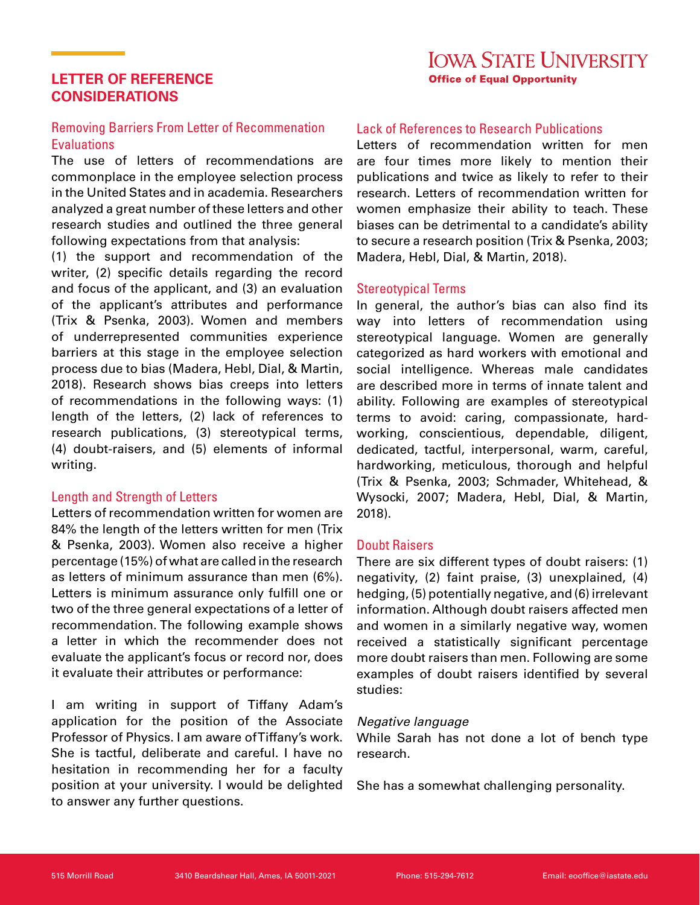# **LETTER OF REFERENCE CONSIDERATIONS**

# Removing Barriers From Letter of Recommenation **Evaluations**

The use of letters of recommendations are commonplace in the employee selection process in the United States and in academia. Researchers analyzed a great number of these letters and other research studies and outlined the three general following expectations from that analysis:

(1) the support and recommendation of the writer, (2) specific details regarding the record and focus of the applicant, and (3) an evaluation of the applicant's attributes and performance (Trix & Psenka, 2003). Women and members of underrepresented communities experience barriers at this stage in the employee selection process due to bias (Madera, Hebl, Dial, & Martin, 2018). Research shows bias creeps into letters of recommendations in the following ways: (1) length of the letters, (2) lack of references to research publications, (3) stereotypical terms, (4) doubt-raisers, and (5) elements of informal writing.

# Length and Strength of Letters

Letters of recommendation written for women are 84% the length of the letters written for men (Trix & Psenka, 2003). Women also receive a higher percentage (15%) of what are called in the research as letters of minimum assurance than men (6%). Letters is minimum assurance only fulfill one or two of the three general expectations of a letter of recommendation. The following example shows a letter in which the recommender does not evaluate the applicant's focus or record nor, does it evaluate their attributes or performance:

I am writing in support of Tiffany Adam's application for the position of the Associate Professor of Physics. I am aware of Tiffany's work. She is tactful, deliberate and careful. I have no hesitation in recommending her for a faculty position at your university. I would be delighted to answer any further questions.

# Lack of References to Research Publications

Letters of recommendation written for men are four times more likely to mention their publications and twice as likely to refer to their research. Letters of recommendation written for women emphasize their ability to teach. These biases can be detrimental to a candidate's ability to secure a research position (Trix & Psenka, 2003; Madera, Hebl, Dial, & Martin, 2018).

## Stereotypical Terms

In general, the author's bias can also find its way into letters of recommendation using stereotypical language. Women are generally categorized as hard workers with emotional and social intelligence. Whereas male candidates are described more in terms of innate talent and ability. Following are examples of stereotypical terms to avoid: caring, compassionate, hardworking, conscientious, dependable, diligent, dedicated, tactful, interpersonal, warm, careful, hardworking, meticulous, thorough and helpful (Trix & Psenka, 2003; Schmader, Whitehead, & Wysocki, 2007; Madera, Hebl, Dial, & Martin, 2018).

## Doubt Raisers

There are six different types of doubt raisers: (1) negativity, (2) faint praise, (3) unexplained, (4) hedging, (5) potentially negative, and (6) irrelevant information. Although doubt raisers affected men and women in a similarly negative way, women received a statistically significant percentage more doubt raisers than men. Following are some examples of doubt raisers identified by several studies:

## *Negative language*

While Sarah has not done a lot of bench type research.

She has a somewhat challenging personality.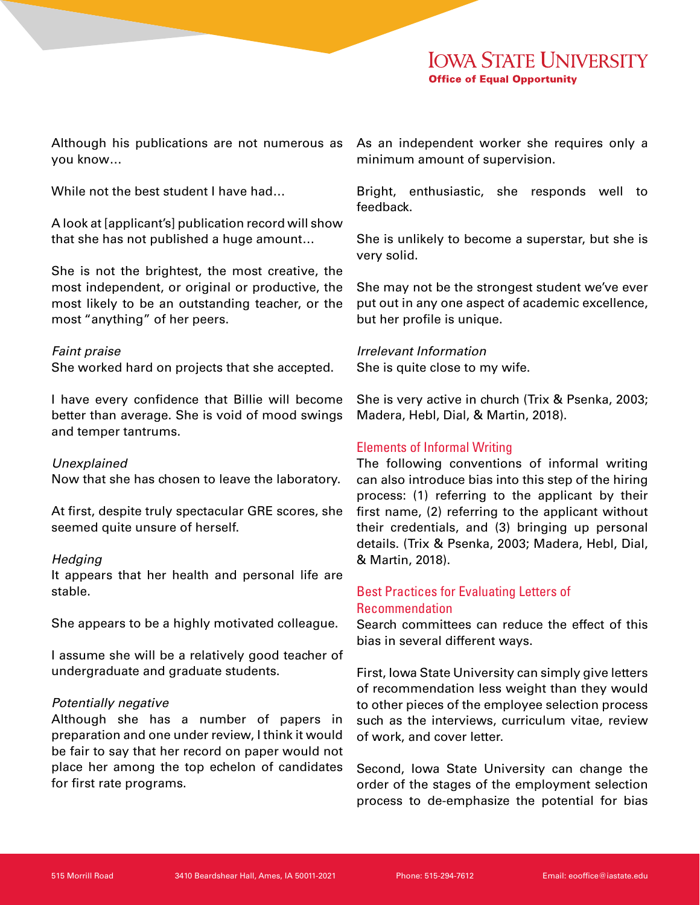Although his publications are not numerous as you know…

While not the best student I have had...

A look at [applicant's] publication record will show that she has not published a huge amount…

She is not the brightest, the most creative, the most independent, or original or productive, the most likely to be an outstanding teacher, or the most "anything" of her peers.

#### *Faint praise*

She worked hard on projects that she accepted.

I have every confidence that Billie will become better than average. She is void of mood swings and temper tantrums.

#### *Unexplained*

Now that she has chosen to leave the laboratory.

At first, despite truly spectacular GRE scores, she seemed quite unsure of herself.

#### *Hedging*

It appears that her health and personal life are stable.

She appears to be a highly motivated colleague.

I assume she will be a relatively good teacher of undergraduate and graduate students.

## *Potentially negative*

Although she has a number of papers in preparation and one under review, I think it would be fair to say that her record on paper would not place her among the top echelon of candidates for first rate programs.

As an independent worker she requires only a minimum amount of supervision.

Bright, enthusiastic, she responds well to feedback.

She is unlikely to become a superstar, but she is very solid.

She may not be the strongest student we've ever put out in any one aspect of academic excellence, but her profile is unique.

# *Irrelevant Information*

She is quite close to my wife.

She is very active in church (Trix & Psenka, 2003; Madera, Hebl, Dial, & Martin, 2018).

## Elements of Informal Writing

The following conventions of informal writing can also introduce bias into this step of the hiring process: (1) referring to the applicant by their first name, (2) referring to the applicant without their credentials, and (3) bringing up personal details. (Trix & Psenka, 2003; Madera, Hebl, Dial, & Martin, 2018).

## Best Practices for Evaluating Letters of Recommendation

Search committees can reduce the effect of this bias in several different ways.

First, Iowa State University can simply give letters of recommendation less weight than they would to other pieces of the employee selection process such as the interviews, curriculum vitae, review of work, and cover letter.

Second, Iowa State University can change the order of the stages of the employment selection process to de-emphasize the potential for bias